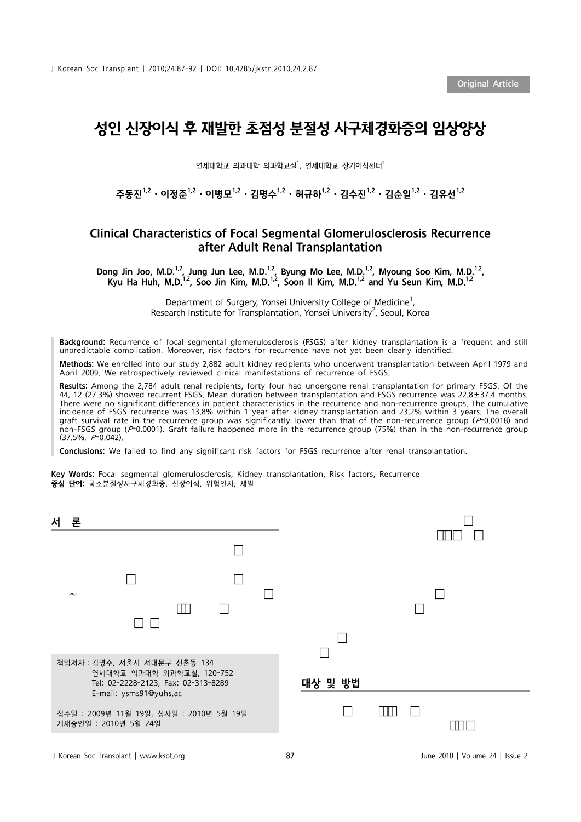J Korean Soc Transplant | 2010;24:87-92 | DOI: 10.4285/jkstn.2010.24.2.87

Original Article

## 성인 신장이식 후 재발한 초점성 분절성 사구체경화증의 임상양상

연세대학교 의과대학 외과학교실<sup>1</sup>, 연세대학교 장기이식센터<sup>2</sup>

주동지 $^{1,2} \cdot$  이정주 $^{1,2} \cdot$  이병모 $^{1,2} \cdot$  김명수 $^{1,2} \cdot$  허규하 $^{1,2} \cdot$  김수지 $^{1,2} \cdot$  김유선 $^{1,2} \cdot$ 

### Clinical Characteristics of Focal Segmental Glomerulosclerosis Recurrence after Adult Renal Transplantation

Dong Jin Joo, M.D.<sup>1,2</sup>, Jung Jun Lee, M.D.<sup>1,2</sup>, Byung Mo Lee, M.D.<sup>1,2</sup>, Myoung Soo Kim, M.D.<sup>1,2</sup>, Kyu Ha Huh, M.D.<sup>1,2</sup>, Soo Jin Kim, M.D.<sup>1,2</sup>, Soon II Kim, M.D.<sup>1,2</sup> and Yu Seun Kim, M.D.<sup>1,2</sup>

> Department of Surgery, Yonsei University College of Medicine<sup>1</sup>, Research Institute for Transplantation, Yonsei University<sup>2</sup>, Seoul, Korea

Background: Recurrence of focal segmental glomerulosclerosis (FSGS) after kidney transplantation is a frequent and still unpredictable complication. Moreover, risk factors for recurrence have not yet been clearly identified.

Methods: We enrolled into our study 2,882 adult kidney recipients who underwent transplantation between April 1979 and April 2009. We retrospectively reviewed clinical manifestations of recurrence of FSGS.

Results: Among the 2,784 adult renal recipients, forty four had undergone renal transplantation for primary FSGS. Of the 44, 12 (27.3%) showed recurrent FSGS. Mean duration between transplantation and FSGS recurrence was 22.8±37.4 months. There were no significant differences in patient characteristics in the recurrence and non-recurrence groups. The cumulative incidence of FSGS recurrence was 13.8% within 1 year after kidney transplantation and 23.2% within 3 years. The overall graft survival rate in the recurrence group was significantly lower than that of the non-recurrence group (P=0.0018) and non-FSGS group (P=0.0001). Graft failure happened more in the recurrence group (75%) than in the non-recurrence group  $(37.5\%, P=0.042)$ .

Conclusions: We failed to find any significant risk factors for FSGS recurrence after renal transplantation.

Key Words: Focal segmental glomerulosclerosis, Kidney transplantation, Risk factors, Recurrence 중심 단어: 국소분절성사구체경화증, 신장이식, 위험인자, 재발

| 서<br>론                                                                                           |         |
|--------------------------------------------------------------------------------------------------|---------|
|                                                                                                  |         |
| $\tilde{\phantom{a}}$                                                                            |         |
| M                                                                                                |         |
| 책임저자 : 김명수, 서울시 서대문구 신촌동 134<br>연세대학교 의과대학 외과학교실, 120-752<br>Tel: 02-2228-2123, Fax: 02-313-8289 | 대상 및 방법 |
| E-mail: ysms91@yuhs.ac<br>접수일 : 2009년 11월 19일, 심사일 : 2010년 5월 19일<br>게재승인일 : 2010년 5월 24일        |         |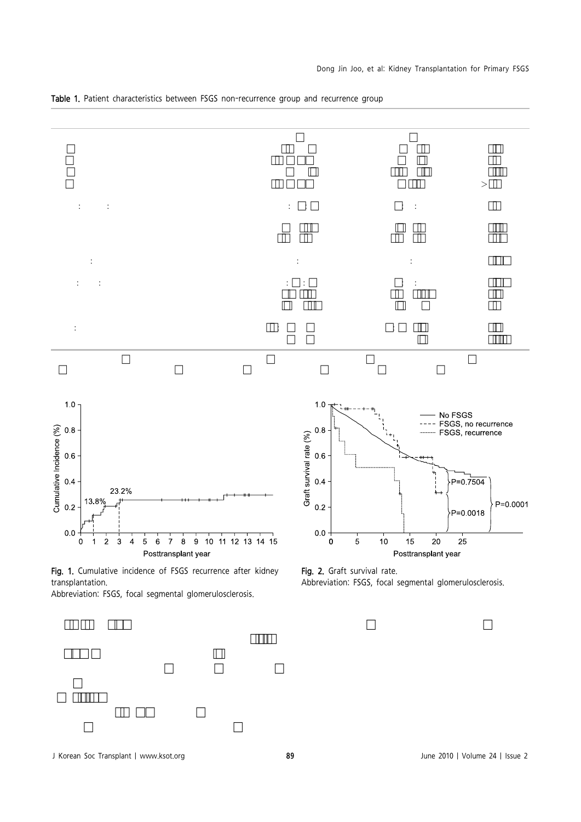

Table 1. Patient characteristics between FSGS non-recurrence group and recurrence group







J Korean Soc Transplant | www.ksot.org 89 June 2010 | Volume 24 | Issue 2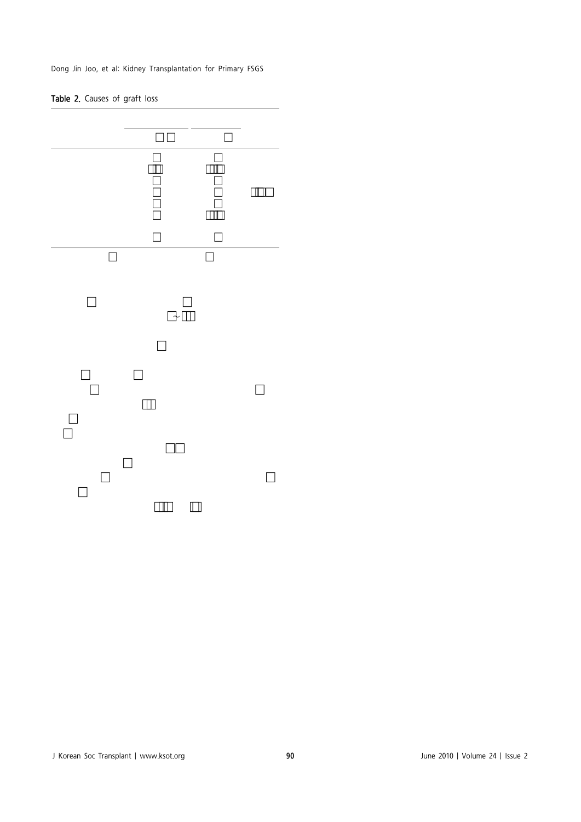Dong Jin Joo, et al: Kidney Transplantation for Primary FSGS

#### Table 2. Causes of graft loss



J Korean Soc Transplant | www.ksot.org 90 June 2010 | Volume 24 | Issue 2 기쉑뵐瑐ऀ 1 àǰ ƀÐ倀က瘕ኡ텑뵐/기는 지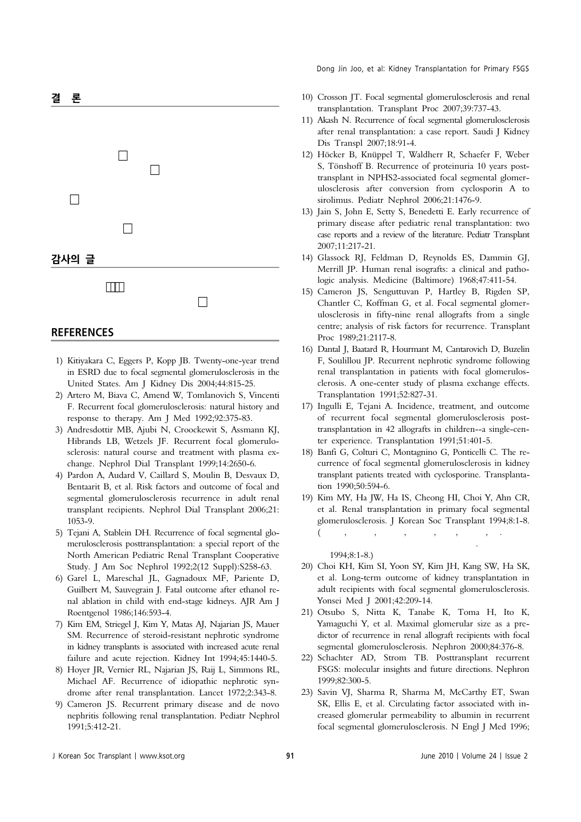# 결 론 차이가 없는 사이 후 재발되었을 때 이식 수실의 소실의 소실의 소실의 가능성이 높은 질환이다. 본 연구에서는 통계적으로 유지하고 있다. 으나, 향후 더 많은 수의 환자를 대상으로 하는 연구가 가 필요할 것이다. 감사의 글 본 논문은 2009년도 연세대학교 의과대학 장기이식연 구소의 연구비 지원으로 이루어졌음.

#### **REFERENCES**

- 1) Kitiyakara C, Eggers P, Kopp JB. Twenty-one-year trend in ESRD due to focal segmental glomerulosclerosis in the United States. Am J Kidney Dis 2004;44:815-25.
- 2) Artero M, Biava C, Amend W, Tomlanovich S, Vincenti F. Recurrent focal glomerulosclerosis: natural history and response to therapy. Am J Med 1992;92:375-83.
- 3) Andresdottir MB, Ajubi N, Croockewit S, Assmann KJ, Hibrands LB, Wetzels JF. Recurrent focal glomerulosclerosis: natural course and treatment with plasma exchange. Nephrol Dial Transplant 1999;14:2650-6.
- 4) Pardon A, Audard V, Caillard S, Moulin B, Desvaux D, Bentaarit B, et al. Risk factors and outcome of focal and segmental glomerulosclerosis recurrence in adult renal transplant recipients. Nephrol Dial Transplant 2006;21: 1053-9.
- 5) Tejani A, Stablein DH. Recurrence of focal segmental glomerulosclerosis posttransplantation: a special report of the North American Pediatric Renal Transplant Cooperative Study. J Am Soc Nephrol 1992;2(12 Suppl):S258-63.
- 6) Garel L, Mareschal JL, Gagnadoux MF, Pariente D, Guilbert M, Sauvegrain J. Fatal outcome after ethanol renal ablation in child with end-stage kidneys. AJR Am J Roentgenol 1986;146:593-4.
- 7) Kim EM, Striegel J, Kim Y, Matas AJ, Najarian JS, Mauer SM. Recurrence of steroid-resistant nephrotic syndrome in kidney transplants is associated with increased acute renal failure and acute rejection. Kidney Int 1994;45:1440-5.
- 8) Hoyer JR, Vernier RL, Najarian JS, Raij L, Simmons RL, Michael AF. Recurrence of idiopathic nephrotic syndrome after renal transplantation. Lancet 1972;2:343-8.
- 9) Cameron JS. Recurrent primary disease and de novo nephritis following renal transplantation. Pediatr Nephrol 1991;5:412-21.

Dong Jin Joo, et al: Kidney Transplantation for Primary FSGS

- 10) Crosson JT. Focal segmental glomerulosclerosis and renal transplantation. Transplant Proc 2007;39:737-43.
- 11) Akash N. Recurrence of focal segmental glomerulosclerosis after renal transplantation: a case report. Saudi J Kidney Dis Transpl 2007;18:91-4.
- 12) Höcker B, Knüppel T, Waldherr R, Schaefer F, Weber S, Tönshoff B. Recurrence of proteinuria 10 years posttransplant in NPHS2-associated focal segmental glomerulosclerosis after conversion from cyclosporin A to sirolimus. Pediatr Nephrol 2006;21:1476-9.
- 13) Jain S, John E, Setty S, Benedetti E. Early recurrence of primary disease after pediatric renal transplantation: two case reports and a review of the literature. Pediatr Transplant 2007;11:217-21.
- 14) Glassock RJ, Feldman D, Reynolds ES, Dammin GJ, Merrill JP. Human renal isografts: a clinical and pathologic analysis. Medicine (Baltimore) 1968;47:411-54.
- 15) Cameron JS, Senguttuvan P, Hartley B, Rigden SP, Chantler C, Koffman G, et al. Focal segmental glomerulosclerosis in fifty-nine renal allografts from a single centre; analysis of risk factors for recurrence. Transplant Proc 1989;21:2117-8.
- 16) Dantal J, Baatard R, Hourmant M, Cantarovich D, Buzelin F, Soulillou JP. Recurrent nephrotic syndrome following renal transplantation in patients with focal glomerulosclerosis. A one-center study of plasma exchange effects. Transplantation 1991;52:827-31.
- 17) Ingulli E, Tejani A. Incidence, treatment, and outcome of recurrent focal segmental glomerulosclerosis posttransplantation in 42 allografts in children--a single-center experience. Transplantation 1991;51:401-5.
- 18) Banfi G, Colturi C, Montagnino G, Ponticelli C. The recurrence of focal segmental glomerulosclerosis in kidney transplant patients treated with cyclosporine. Transplantation 1990;50:594-6.
- 19) Kim MY, Ha JW, Ha IS, Cheong HI, Choi Y, Ahn CR, et al. Renal transplantation in primary focal segmental glomerulosclerosis. J Korean Soc Transplant 1994;8:1-8. (김민영, 하종원, 하일수, 정해일, 최용, 안규리, . 일차성

초점성 분절성 사구체 경화증에서의 신이식. 대한이식학회

지 1994;8:1-8.)

- 20) Choi KH, Kim SI, Yoon SY, Kim JH, Kang SW, Ha SK, et al. Long-term outcome of kidney transplantation in adult recipients with focal segmental glomerulosclerosis. Yonsei Med J 2001;42:209-14.
- 21) Otsubo S, Nitta K, Tanabe K, Toma H, Ito K, Yamaguchi Y, et al. Maximal glomerular size as a predictor of recurrence in renal allograft recipients with focal segmental glomerulosclerosis. Nephron 2000;84:376-8.
- 22) Schachter AD, Strom TB. Posttransplant recurrent FSGS: molecular insights and future directions. Nephron 1999;82:300-5.
- 23) Savin VJ, Sharma R, Sharma M, McCarthy ET, Swan SK, Ellis E, et al. Circulating factor associated with increased glomerular permeability to albumin in recurrent focal segmental glomerulosclerosis. N Engl J Med 1996;